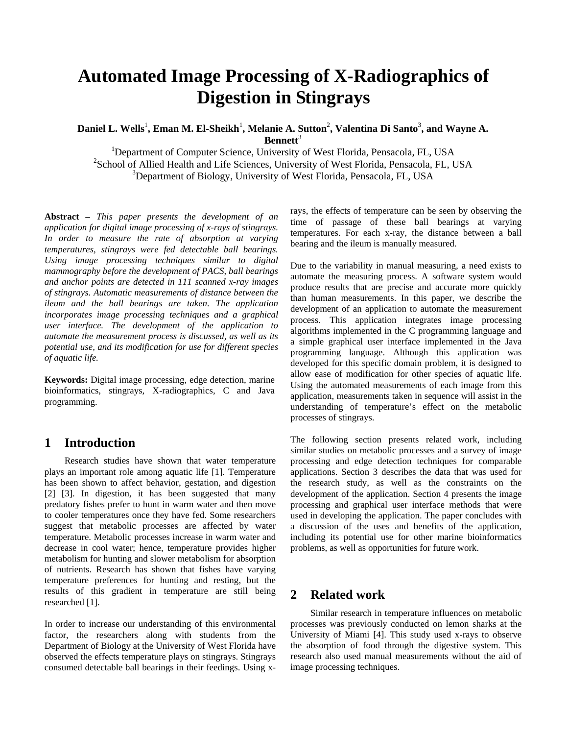# **Automated Image Processing of X-Radiographics of Digestion in Stingrays**

Daniel L. Wells<sup>1</sup>, Eman M. El-Sheikh<sup>1</sup>, Melanie A. Sutton<sup>2</sup>, Valentina Di Santo<sup>3</sup>, and Wayne A. **Bennett**<sup>3</sup>

<sup>1</sup>Department of Computer Science, University of West Florida, Pensacola, FL, USA <sup>2</sup>School of Allied Health and Life Sciences, University of West Florida, Pensacola, FL, USA <sup>3</sup>Department of Biology, University of West Florida, Pensacola, FL, USA

**Abstract** *– This paper presents the development of an application for digital image processing of x-rays of stingrays. In order to measure the rate of absorption at varying temperatures, stingrays were fed detectable ball bearings. Using image processing techniques similar to digital mammography before the development of PACS, ball bearings and anchor points are detected in 111 scanned x-ray images of stingrays. Automatic measurements of distance between the ileum and the ball bearings are taken. The application incorporates image processing techniques and a graphical user interface. The development of the application to automate the measurement process is discussed, as well as its potential use, and its modification for use for different species of aquatic life.* 

**Keywords:** Digital image processing, edge detection, marine bioinformatics, stingrays, X-radiographics, C and Java programming.

# **1 Introduction**

 Research studies have shown that water temperature plays an important role among aquatic life [1]. Temperature has been shown to affect behavior, gestation, and digestion [2] [3]. In digestion, it has been suggested that many predatory fishes prefer to hunt in warm water and then move to cooler temperatures once they have fed. Some researchers suggest that metabolic processes are affected by water temperature. Metabolic processes increase in warm water and decrease in cool water; hence, temperature provides higher metabolism for hunting and slower metabolism for absorption of nutrients. Research has shown that fishes have varying temperature preferences for hunting and resting, but the results of this gradient in temperature are still being researched [1].

In order to increase our understanding of this environmental factor, the researchers along with students from the Department of Biology at the University of West Florida have observed the effects temperature plays on stingrays. Stingrays consumed detectable ball bearings in their feedings. Using xrays, the effects of temperature can be seen by observing the time of passage of these ball bearings at varying temperatures. For each x-ray, the distance between a ball bearing and the ileum is manually measured.

Due to the variability in manual measuring, a need exists to automate the measuring process. A software system would produce results that are precise and accurate more quickly than human measurements. In this paper, we describe the development of an application to automate the measurement process. This application integrates image processing algorithms implemented in the C programming language and a simple graphical user interface implemented in the Java programming language. Although this application was developed for this specific domain problem, it is designed to allow ease of modification for other species of aquatic life. Using the automated measurements of each image from this application, measurements taken in sequence will assist in the understanding of temperature's effect on the metabolic processes of stingrays.

The following section presents related work, including similar studies on metabolic processes and a survey of image processing and edge detection techniques for comparable applications. Section 3 describes the data that was used for the research study, as well as the constraints on the development of the application. Section 4 presents the image processing and graphical user interface methods that were used in developing the application. The paper concludes with a discussion of the uses and benefits of the application, including its potential use for other marine bioinformatics problems, as well as opportunities for future work.

# **2 Related work**

 Similar research in temperature influences on metabolic processes was previously conducted on lemon sharks at the University of Miami [4]. This study used x-rays to observe the absorption of food through the digestive system. This research also used manual measurements without the aid of image processing techniques.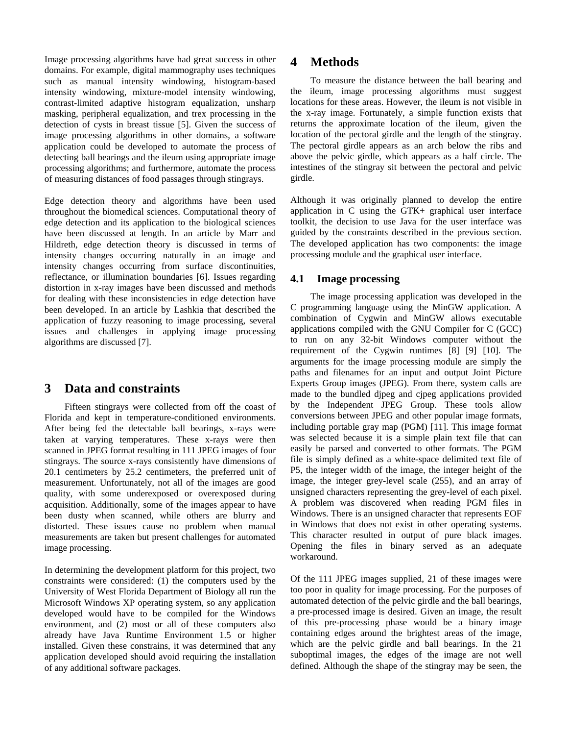Image processing algorithms have had great success in other domains. For example, digital mammography uses techniques such as manual intensity windowing, histogram-based intensity windowing, mixture-model intensity windowing, contrast-limited adaptive histogram equalization, unsharp masking, peripheral equalization, and trex processing in the detection of cysts in breast tissue [5]. Given the success of image processing algorithms in other domains, a software application could be developed to automate the process of detecting ball bearings and the ileum using appropriate image processing algorithms; and furthermore, automate the process of measuring distances of food passages through stingrays.

Edge detection theory and algorithms have been used throughout the biomedical sciences. Computational theory of edge detection and its application to the biological sciences have been discussed at length. In an article by Marr and Hildreth, edge detection theory is discussed in terms of intensity changes occurring naturally in an image and intensity changes occurring from surface discontinuities, reflectance, or illumination boundaries [6]. Issues regarding distortion in x-ray images have been discussed and methods for dealing with these inconsistencies in edge detection have been developed. In an article by Lashkia that described the application of fuzzy reasoning to image processing, several issues and challenges in applying image processing algorithms are discussed [7].

### **3 Data and constraints**

Fifteen stingrays were collected from off the coast of Florida and kept in temperature-conditioned environments. After being fed the detectable ball bearings, x-rays were taken at varying temperatures. These x-rays were then scanned in JPEG format resulting in 111 JPEG images of four stingrays. The source x-rays consistently have dimensions of 20.1 centimeters by 25.2 centimeters, the preferred unit of measurement. Unfortunately, not all of the images are good quality, with some underexposed or overexposed during acquisition. Additionally, some of the images appear to have been dusty when scanned, while others are blurry and distorted. These issues cause no problem when manual measurements are taken but present challenges for automated image processing.

In determining the development platform for this project, two constraints were considered: (1) the computers used by the University of West Florida Department of Biology all run the Microsoft Windows XP operating system, so any application developed would have to be compiled for the Windows environment, and (2) most or all of these computers also already have Java Runtime Environment 1.5 or higher installed. Given these constrains, it was determined that any application developed should avoid requiring the installation of any additional software packages.

## **4 Methods**

 To measure the distance between the ball bearing and the ileum, image processing algorithms must suggest locations for these areas. However, the ileum is not visible in the x-ray image. Fortunately, a simple function exists that returns the approximate location of the ileum, given the location of the pectoral girdle and the length of the stingray. The pectoral girdle appears as an arch below the ribs and above the pelvic girdle, which appears as a half circle. The intestines of the stingray sit between the pectoral and pelvic girdle.

Although it was originally planned to develop the entire application in C using the GTK+ graphical user interface toolkit, the decision to use Java for the user interface was guided by the constraints described in the previous section. The developed application has two components: the image processing module and the graphical user interface.

#### **4.1 Image processing**

 The image processing application was developed in the C programming language using the MinGW application. A combination of Cygwin and MinGW allows executable applications compiled with the GNU Compiler for C (GCC) to run on any 32-bit Windows computer without the requirement of the Cygwin runtimes [8] [9] [10]. The arguments for the image processing module are simply the paths and filenames for an input and output Joint Picture Experts Group images (JPEG). From there, system calls are made to the bundled djpeg and cjpeg applications provided by the Independent JPEG Group. These tools allow conversions between JPEG and other popular image formats, including portable gray map (PGM) [11]. This image format was selected because it is a simple plain text file that can easily be parsed and converted to other formats. The PGM file is simply defined as a white-space delimited text file of P5, the integer width of the image, the integer height of the image, the integer grey-level scale (255), and an array of unsigned characters representing the grey-level of each pixel. A problem was discovered when reading PGM files in Windows. There is an unsigned character that represents EOF in Windows that does not exist in other operating systems. This character resulted in output of pure black images. Opening the files in binary served as an adequate workaround.

Of the 111 JPEG images supplied, 21 of these images were too poor in quality for image processing. For the purposes of automated detection of the pelvic girdle and the ball bearings, a pre-processed image is desired. Given an image, the result of this pre-processing phase would be a binary image containing edges around the brightest areas of the image, which are the pelvic girdle and ball bearings. In the 21 suboptimal images, the edges of the image are not well defined. Although the shape of the stingray may be seen, the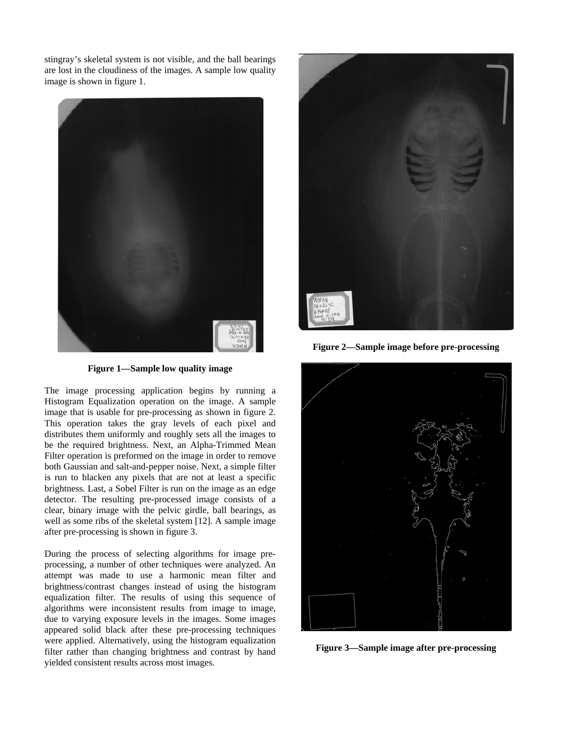stingray's skeletal system is not visible, and the ball bearings are lost in the cloudiness of the images. A sample low quality image is shown in figure 1.



**Figure 1—Sample low quality image** 

The image processing application begins by running a Histogram Equalization operation on the image. A sample image that is usable for pre-processing as shown in figure 2. This operation takes the gray levels of each pixel and distributes them uniformly and roughly sets all the images to be the required brightness. Next, an Alpha-Trimmed Mean Filter operation is preformed on the image in order to remove both Gaussian and salt-and-pepper noise. Next, a simple filter is run to blacken any pixels that are not at least a specific brightness. Last, a Sobel Filter is run on the image as an edge detector. The resulting pre-processed image consists of a clear, binary image with the pelvic girdle, ball bearings, as well as some ribs of the skeletal system [12]. A sample image after pre-processing is shown in figure 3.

During the process of selecting algorithms for image preprocessing, a number of other techniques were analyzed. An attempt was made to use a harmonic mean filter and brightness/contrast changes instead of using the histogram equalization filter. The results of using this sequence of algorithms were inconsistent results from image to image, due to varying exposure levels in the images. Some images appeared solid black after these pre-processing techniques were applied. Alternatively, using the histogram equalization filter rather than changing brightness and contrast by hand yielded consistent results across most images.



**Figure 2—Sample image before pre-processing** 



**Figure 3—Sample image after pre-processing**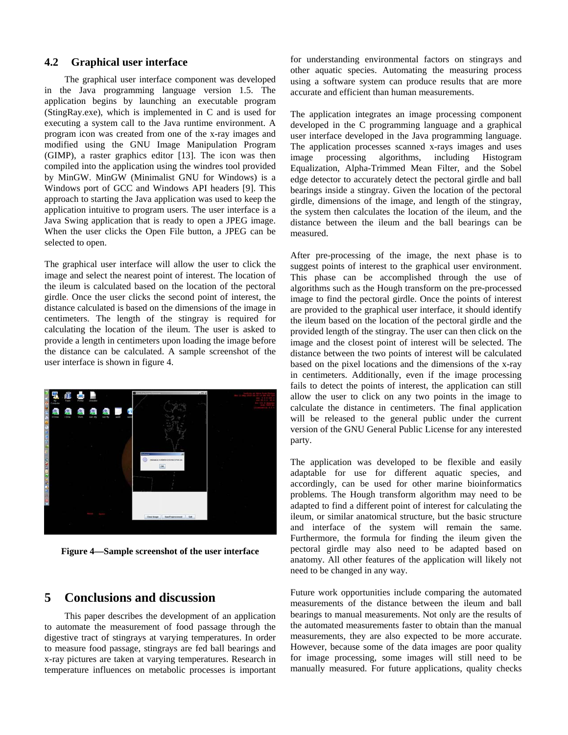#### **4.2 Graphical user interface**

 The graphical user interface component was developed in the Java programming language version 1.5. The application begins by launching an executable program (StingRay.exe), which is implemented in C and is used for executing a system call to the Java runtime environment. A program icon was created from one of the x-ray images and modified using the GNU Image Manipulation Program (GIMP), a raster graphics editor [13]. The icon was then compiled into the application using the windres tool provided by MinGW. MinGW (Minimalist GNU for Windows) is a Windows port of GCC and Windows API headers [9]. This approach to starting the Java application was used to keep the application intuitive to program users. The user interface is a Java Swing application that is ready to open a JPEG image. When the user clicks the Open File button, a JPEG can be selected to open.

The graphical user interface will allow the user to click the image and select the nearest point of interest. The location of the ileum is calculated based on the location of the pectoral girdle. Once the user clicks the second point of interest, the distance calculated is based on the dimensions of the image in centimeters. The length of the stingray is required for calculating the location of the ileum. The user is asked to provide a length in centimeters upon loading the image before the distance can be calculated. A sample screenshot of the user interface is shown in figure 4.



**Figure 4—Sample screenshot of the user interface** 

## **5 Conclusions and discussion**

 This paper describes the development of an application to automate the measurement of food passage through the digestive tract of stingrays at varying temperatures. In order to measure food passage, stingrays are fed ball bearings and x-ray pictures are taken at varying temperatures. Research in temperature influences on metabolic processes is important for understanding environmental factors on stingrays and other aquatic species. Automating the measuring process using a software system can produce results that are more accurate and efficient than human measurements.

The application integrates an image processing component developed in the C programming language and a graphical user interface developed in the Java programming language. The application processes scanned x-rays images and uses image processing algorithms, including Histogram Equalization, Alpha-Trimmed Mean Filter, and the Sobel edge detector to accurately detect the pectoral girdle and ball bearings inside a stingray. Given the location of the pectoral girdle, dimensions of the image, and length of the stingray, the system then calculates the location of the ileum, and the distance between the ileum and the ball bearings can be measured.

After pre-processing of the image, the next phase is to suggest points of interest to the graphical user environment. This phase can be accomplished through the use of algorithms such as the Hough transform on the pre-processed image to find the pectoral girdle. Once the points of interest are provided to the graphical user interface, it should identify the ileum based on the location of the pectoral girdle and the provided length of the stingray. The user can then click on the image and the closest point of interest will be selected. The distance between the two points of interest will be calculated based on the pixel locations and the dimensions of the x-ray in centimeters. Additionally, even if the image processing fails to detect the points of interest, the application can still allow the user to click on any two points in the image to calculate the distance in centimeters. The final application will be released to the general public under the current version of the GNU General Public License for any interested party.

The application was developed to be flexible and easily adaptable for use for different aquatic species, and accordingly, can be used for other marine bioinformatics problems. The Hough transform algorithm may need to be adapted to find a different point of interest for calculating the ileum, or similar anatomical structure, but the basic structure and interface of the system will remain the same. Furthermore, the formula for finding the ileum given the pectoral girdle may also need to be adapted based on anatomy. All other features of the application will likely not need to be changed in any way.

Future work opportunities include comparing the automated measurements of the distance between the ileum and ball bearings to manual measurements. Not only are the results of the automated measurements faster to obtain than the manual measurements, they are also expected to be more accurate. However, because some of the data images are poor quality for image processing, some images will still need to be manually measured. For future applications, quality checks